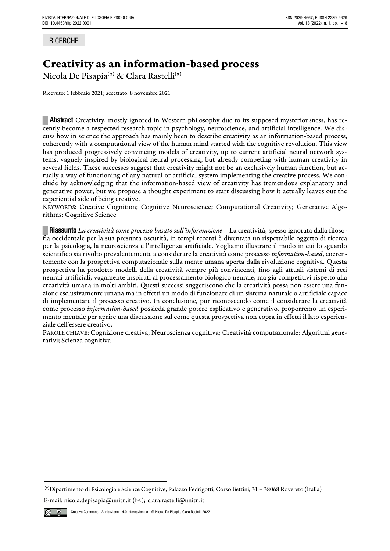## **RICERCHE**

# Creativity as an information-based process

Nicola De Pisapia<sup>(α)</sup> & Clara Rastelli<sup>(α)</sup>

Ricevuto: 1 febbraio 2021; accettato: 8 novembre 2021

**EXECUTE:** Abstract Creativity, mostly ignored in Western philosophy due to its supposed mysteriousness, has recently become a respected research topic in psychology, neuroscience, and artificial intelligence. We discuss how in science the approach has mainly been to describe creativity as an information-based process, coherently with a computational view of the human mind started with the cognitive revolution. This view has produced progressively convincing models of creativity, up to current artificial neural network systems, vaguely inspired by biological neural processing, but already competing with human creativity in several fields. These successes suggest that creativity might not be an exclusively human function, but actually a way of functioning of any natural or artificial system implementing the creative process. We conclude by acknowledging that the information-based view of creativity has tremendous explanatory and generative power, but we propose a thought experiment to start discussing how it actually leaves out the experiential side of being creative.

KEYWORDS: Creative Cognition; Cognitive Neuroscience; Computational Creativity; Generative Algorithms; Cognitive Science

**█ Riassunto** *La creatività come processo basato sull'informazione* – La creatività, spesso ignorata dalla filosofia occidentale per la sua presunta oscurità, in tempi recenti è diventata un rispettabile oggetto di ricerca per la psicologia, la neuroscienza e l'intelligenza artificiale. Vogliamo illustrare il modo in cui lo sguardo scientifico sia rivolto prevalentemente a considerare la creatività come processo *information-based*, coerentemente con la prospettiva computazionale sulla mente umana aperta dalla rivoluzione cognitiva. Questa prospettiva ha prodotto modelli della creatività sempre più convincenti, fino agli attuali sistemi di reti neurali artificiali, vagamente inspirati al processamento biologico neurale, ma già competitivi rispetto alla creatività umana in molti ambiti. Questi successi suggeriscono che la creatività possa non essere una funzione esclusivamente umana ma in effetti un modo di funzionare di un sistema naturale o artificiale capace di implementare il processo creativo. In conclusione, pur riconoscendo come il considerare la creatività come processo *information-based* possieda grande potere esplicativo e generativo, proporremo un esperimento mentale per aprire una discussione sul come questa prospettiva non copra in effetti il lato esperienziale dell'essere creativo.

PAROLE CHIAVE: Cognizione creativa; Neuroscienza cognitiva; Creatività computazionale; Algoritmi generativi; Scienza cognitiva

E-mail: nicola.depisapia@unitn.it ( $\boxtimes$ ); clara.rastelli@unitn.it

<sup>(</sup>α)Dipartimento di Psicologia e Scienze Cognitive, Palazzo Fedrigotti, Corso Bettini, 31 – 38068 Rovereto (Italia)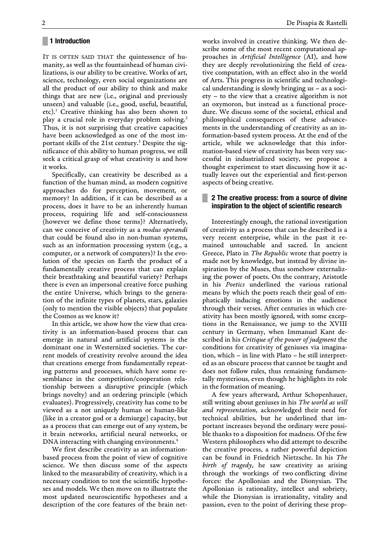#### **█ 1 Introduction**

IT IS OFTEN SAID THAT the quintessence of humanity, as well as the fountainhead of human civilizations, is our ability to be creative. Works of art, science, technology, even social organizations are all the product of our ability to think and make things that are new (i.e., original and previously unseen) and valuable (i.e., good, useful, beautiful, etc).<sup>1</sup> Creative thinking has also been shown to play a crucial role in everyday problem solving.<sup>2</sup> Thus, it is not surprising that creative capacities have been acknowledged as one of the most important skills of the 21st century.<sup>3</sup> Despite the significance of this ability to human progress, we still seek a critical grasp of what creativity is and how it works.

Specifically, can creativity be described as a function of the human mind, as modern cognitive approaches do for perception, movement, or memory? In addition, if it can be described as a process, does it have to be an inherently human process, requiring life and self-consciousness (however we define those terms)? Alternatively, can we conceive of creativity as a *modus operandi* that could be found also in non-human systems, such as an information processing system (e.g., a computer, or a network of computers)? Is the evolution of the species on Earth the product of a fundamentally creative process that can explain their breathtaking and beautiful variety? Perhaps there is even an impersonal creative force pushing the entire Universe, which brings to the generation of the infinite types of planets, stars, galaxies (only to mention the visible objects) that populate the Cosmos as we know it?

In this article, we show how the view that creativity is an information-based process that can emerge in natural and artificial systems is the dominant one in Westernized societies. The current models of creativity revolve around the idea that creations emerge from fundamentally repeating patterns and processes, which have some resemblance in the competition/cooperation relationship between a disruptive principle (which brings novelty) and an ordering principle (which evaluates). Progressively, creativity has come to be viewed as a not uniquely human or human-like (like in a creator god or a demiurge) capacity, but as a process that can emerge out of any system, be it brain networks, artificial neural networks, or DNA interacting with changing environments.<sup>4</sup>

We first describe creativity as an informationbased process from the point of view of cognitive science. We then discuss some of the aspects linked to the measurability of creativity, which is a necessary condition to test the scientific hypotheses and models. We then move on to illustrate the most updated neuroscientific hypotheses and a description of the core features of the brain networks involved in creative thinking. We then describe some of the most recent computational approaches in *Artificial Intelligence* (AI), and how they are deeply revolutionizing the field of creative computation, with an effect also in the world of Arts. This progress in scientific and technological understanding is slowly bringing us – as a society – to the view that a creative algorithm is not an oxymoron, but instead as a functional procedure. We discuss some of the societal, ethical and philosophical consequences of these advancements in the understanding of creativity as an information-based system process. At the end of the article, while we acknowledge that this information-based view of creativity has been very successful in industrialized society, we propose a thought experiment to start discussing how it actually leaves out the experiential and first-person aspects of being creative.

## **█ 2 The creative process: from a source of divine inspiration to the object of scientific research**

Interestingly enough, the rational investigation of creativity as a process that can be described is a very recent enterprise, while in the past it remained untouchable and sacred. In ancient Greece, Plato in *The Republic* wrote that poetry is made not by knowledge, but instead by divine inspiration by the Muses, thus somehow externalizing the power of poets. On the contrary, Aristotle in his *Poetics* underlined the various rational means by which the poets reach their goal of emphatically inducing emotions in the audience through their verses. After centuries in which creativity has been mostly ignored, with some exceptions in the Renaissance, we jump to the XVIII century in Germany, when Immanuel Kant described in his *Critique of the power of judgment* the conditions for creativity of geniuses via imagination, which – in line with Plato – he still interpreted as an obscure process that cannot be taught and does not follow rules, thus remaining fundamentally mysterious, even though he highlights its role in the formation of meaning.

A few years afterward, Arthur Schopenhauer, still writing about geniuses in his *The world as will and representation*, acknowledged their need for technical abilities, but he underlined that important increases beyond the ordinary were possible thanks to a disposition for madness. Of the few Western philosophers who did attempt to describe the creative process, a rather powerful depiction can be found in Friedrich Nietzsche. In his *The birth of tragedy*, he saw creativity as arising through the workings of two conflicting divine forces: the Apollonian and the Dionysian. The Apollonian is rationality, intellect and sobriety, while the Dionysian is irrationality, vitality and passion, even to the point of deriving these prop-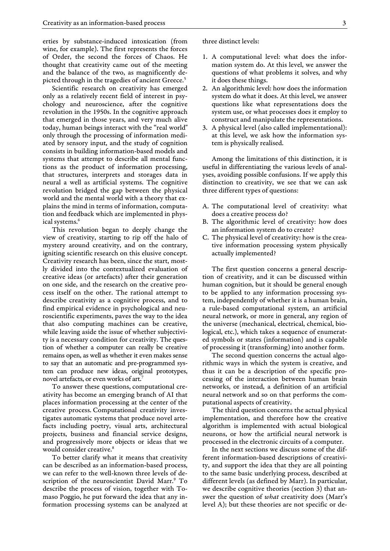erties by substance-induced intoxication (from wine, for example). The first represents the forces of Order, the second the forces of Chaos. He thought that creativity came out of the meeting and the balance of the two, as magnificently depicted through in the tragedies of ancient Greece.<sup>5</sup>

Scientific research on creativity has emerged only as a relatively recent field of interest in psychology and neuroscience, after the cognitive revolution in the 1950s. In the cognitive approach that emerged in those years, and very much alive today, human beings interact with the "real world" only through the processing of information mediated by sensory input, and the study of cognition consists in building information-based models and systems that attempt to describe all mental functions as the product of information processing, that structures, interprets and storages data in neural a well as artificial systems. The cognitive revolution bridged the gap between the physical world and the mental world with a theory that explains the mind in terms of information, computation and feedback which are implemented in physical systems.<sup>6</sup>

This revolution began to deeply change the view of creativity, starting to rip off the halo of mystery around creativity, and on the contrary, igniting scientific research on this elusive concept. Creativity research has been, since the start, mostly divided into the contextualized evaluation of creative ideas (or artefacts) after their generation on one side, and the research on the creative process itself on the other. The rational attempt to describe creativity as a cognitive process, and to find empirical evidence in psychological and neuroscientific experiments, paves the way to the idea that also computing machines can be creative, while leaving aside the issue of whether subjectivity is a necessary condition for creativity. The question of whether a computer can really be creative remains open, as well as whether it even makes sense to say that an automatic and pre-programmed system can produce new ideas, original prototypes, novel artefacts, or even works of art.<sup>7</sup>

To answer these questions, computational creativity has become an emerging branch of AI that places information processing at the center of the creative process. Computational creativity investigates automatic systems that produce novel artefacts including poetry, visual arts, architectural projects, business and financial service designs, and progressively more objects or ideas that we would consider creative.<sup>8</sup>

To better clarify what it means that creativity can be described as an information-based process, we can refer to the well-known three levels of description of the neuroscientist David Marr.<sup>9</sup> To describe the process of vision, together with Tomaso Poggio, he put forward the idea that any information processing systems can be analyzed at three distinct levels:

- 1. A computational level: what does the information system do. At this level, we answer the questions of what problems it solves, and why it does these things.
- 2. An algorithmic level: how does the information system do what it does. At this level, we answer questions like what representations does the system use, or what processes does it employ to construct and manipulate the representations.
- 3. A physical level (also called implementational): at this level, we ask how the information system is physically realised.

Among the limitations of this distinction, it is useful in differentiating the various levels of analyses, avoiding possible confusions. If we apply this distinction to creativity, we see that we can ask three different types of questions:

- A. The computational level of creativity: what does a creative process do?
- B. The algorithmic level of creativity: how does an information system do to create?
- C. The physical level of creativity: how is the creative information processing system physically actually implemented?

The first question concerns a general description of creativity, and it can be discussed within human cognition, but it should be general enough to be applied to any information processing system, independently of whether it is a human brain, a rule-based computational system, an artificial neural network, or more in general, any region of the universe (mechanical, electrical, chemical, biological, etc.), which takes a sequence of enumerated symbols or states (information) and is capable of processing it (transforming) into another form.

The second question concerns the actual algorithmic ways in which the system is creative, and thus it can be a description of the specific processing of the interaction between human brain networks, or instead, a definition of an artificial neural network and so on that performs the computational aspects of creativity.

The third question concerns the actual physical implementation, and therefore how the creative algorithm is implemented with actual biological neurons, or how the artificial neural network is processed in the electronic circuits of a computer.

In the next sections we discuss some of the different information-based descriptions of creativity, and support the idea that they are all pointing to the same basic underlying process, described at different levels (as defined by Marr). In particular, we describe cognitive theories (section 3) that answer the question of *what* creativity does (Marr's level A); but these theories are not specific or de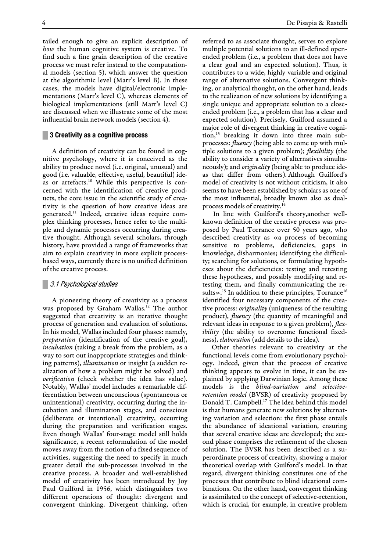tailed enough to give an explicit description of *how* the human cognitive system is creative. To find such a fine grain description of the creative process we must refer instead to the computational models (section 5), which answer the question at the algorithmic level (Marr's level B). In these cases, the models have digital/electronic implementations (Marr's level C), whereas elements of biological implementations (still Marr's level C) are discussed when we illustrate some of the most influential brain network models (section 4).

## **█ 3 Creativity as a cognitive process**

A definition of creativity can be found in cognitive psychology, where it is conceived as the ability to produce novel (i.e. original, unusual) and good (i.e. valuable, effective, useful, beautiful) ideas or artefacts.<sup>10</sup> While this perspective is concerned with the identification of creative products, the core issue in the scientific study of creativity is the question of how creative ideas are generated.<sup>11</sup> Indeed, creative ideas require complex thinking processes, hence refer to the multiple and dynamic processes occurring during creative thought. Although several scholars, through history, have provided a range of frameworks that aim to explain creativity in more explicit processbased ways, currently there is no unified definition of the creative process.

#### **█** 3.1 Psychological studies

A pioneering theory of creativity as a process was proposed by Graham Wallas.<sup>12</sup> The author suggested that creativity is an iterative thought process of generation and evaluation of solutions. In his model, Wallas included four phases: namely, *preparation* (identification of the creative goal), *incubation* (taking a break from the problem, as a way to sort out inappropriate strategies and thinking patterns), *illumination* or insight (a sudden realization of how a problem might be solved) and *verification* (check whether the idea has value). Notably, Wallas' model includes a remarkable differentiation between unconscious (spontaneous or unintentional) creativity, occurring during the incubation and illumination stages, and conscious (deliberate or intentional) creativity, occurring during the preparation and verification stages. Even though Wallas' four-stage model still holds significance, a recent reformulation of the model moves away from the notion of a fixed sequence of activities, suggesting the need to specify in much greater detail the sub-processes involved in the creative process. A broader and well-established model of creativity has been introduced by Joy Paul Guilford in 1956, which distinguishes two different operations of thought: divergent and convergent thinking. Divergent thinking, often

referred to as associate thought, serves to explore multiple potential solutions to an ill-defined openended problem (i.e., a problem that does not have a clear goal and an expected solution). Thus, it contributes to a wide, highly variable and original range of alternative solutions. Convergent thinking, or analytical thought, on the other hand, leads to the realization of new solutions by identifying a single unique and appropriate solution to a closeended problem (i.e., a problem that has a clear and expected solution). Precisely, Guilford assumed a major role of divergent thinking in creative cognition,<sup>13</sup> breaking it down into three main subprocesses: *fluency* (being able to come up with multiple solutions to a given problem); *flexibility* (the ability to consider a variety of alternatives simultaneously); and *originality* (being able to produce ideas that differ from others). Although Guilford's model of creativity is not without criticism, it also seems to have been established by scholars as one of the most influential, broadly known also as dualprocess models of creativity.<sup>1</sup>

In line with Guilford's theory,another wellknown definition of the creative process was proposed by Paul Torrance over 50 years ago, who described creativity as «a process of becoming sensitive to problems, deficiencies, gaps in knowledge, disharmonies; identifying the difficulty; searching for solutions, or formulating hypotheses about the deficiencies: testing and retesting these hypotheses, and possibly modifying and retesting them, and finally communicating the results».<sup>15</sup> In addition to these principles, Torrance<sup>16</sup> identified four necessary components of the creative process: *originality* (uniqueness of the resulting product), *fluency* (the quantity of meaningful and relevant ideas in response to a given problem), *flexibility* (the ability to overcome functional fixedness), *elaboration* (add details to the idea).

Other theories relevant to creativity at the functional levels come from evolutionary psychology. Indeed, given that the process of creative thinking appears to evolve in time, it can be explained by applying Darwinian logic. Among these models is the *blind-variation and selectiveretention model* (BVSR) of creativity proposed by Donald T. Campbell.<sup>17</sup> The idea behind this model is that humans generate new solutions by alternating variation and selection: the first phase entails the abundance of ideational variation, ensuring that several creative ideas are developed; the second phase comprises the refinement of the chosen solution. The BVSR has been described as a superordinate process of creativity, showing a major theoretical overlap with Guilford's model. In that regard, divergent thinking constitutes one of the processes that contribute to blind ideational combinations. On the other hand, convergent thinking is assimilated to the concept of selective-retention, which is crucial, for example, in creative problem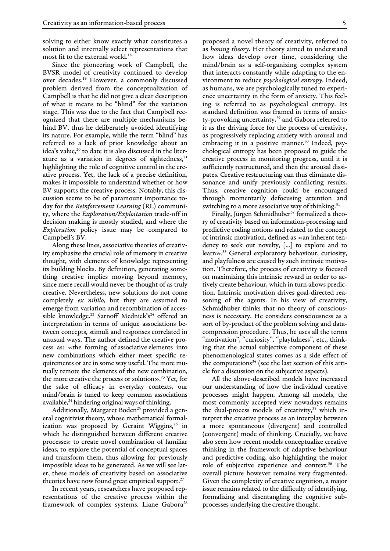solving to either know exactly what constitutes a solution and internally select representations that most fit to the external world.<sup>18</sup>

Since the pioneering work of Campbell, the BVSR model of creativity continued to develop over decades.<sup>19</sup> However, a commonly discussed problem derived from the conceptualization of Campbell is that he did not give a clear description of what it means to be "blind" for the variation stage. This was due to the fact that Campbell recognized that there are multiple mechanisms behind BV, thus he deliberately avoided identifying its nature. For example, while the term "blind" has referred to a lack of prior knowledge about an idea's value,<sup>20</sup> to date it is also discussed in the literature as a variation in degrees of sightedness, $21$ highlighting the role of cognitive control in the creative process. Yet, the lack of a precise definition, makes it impossible to understand whether or how BV supports the creative process. Notably, this discussion seems to be of paramount importance today for the *Reinforcement Learning* (RL) community, where the *Exploration/Exploitation* trade-off in decision making is mostly studied, and where the *Exploration* policy issue may be compared to Campbell's BV.

Along these lines, associative theories of creativity emphasize the crucial role of memory in creative thought, with elements of knowledge representing its building blocks. By definition, generating something creative implies moving beyond memory, since mere recall would never be thought of as truly creative. Nevertheless, new solutions do not come completely *ex nihilo*, but they are assumed to emerge from variation and recombination of accessible knowledge.<sup>22</sup> Sarnoff Mednick's<sup>24</sup> offered an interpretation in terms of unique associations between concepts, stimuli and responses correlated in unusual ways. The author defined the creative process as: «the forming of associative elements into new combinations which either meet specific requirements or are in some way useful. The more mutually remote the elements of the new combination, the more creative the process or solution».<sup>23</sup> Yet, for the sake of efficacy in everyday contexts, our mind/brain is tuned to keep common associations available,<sup>24</sup> hindering original ways of thinking.

Additionally, Margaret Boden<sup>25</sup> provided a general cognitivist theory, whose mathematical formalization was proposed by Geraint Wiggins,<sup>26</sup> in which he distinguished between different creative processes: to create novel combination of familiar ideas, to explore the potential of conceptual spaces and transform them, thus allowing for previously impossible ideas to be generated. As we will see later, these models of creativity based on associative theories have now found great empirical support.<sup>27</sup>

In recent years, researchers have proposed representations of the creative process within the framework of complex systems. Liane Gabora<sup>28</sup> proposed a novel theory of creativity, referred to as *honing theory*. Her theory aimed to understand how ideas develop over time, considering the mind/brain as a self-organizing complex system that interacts constantly while adapting to the environment to reduce *psychological entropy*. Indeed, as humans, we are psychologically tuned to experience uncertainty in the form of anxiety. This feeling is referred to as psychological entropy. Its standard definition was framed in terms of anxiety-provoking uncertainty, $29$  and Gabora referred to it as the driving force for the process of creativity, as progressively replacing anxiety with arousal and embracing it in a positive manner.<sup>30</sup> Indeed, psychological entropy has been proposed to guide the creative process in monitoring progress, until it is sufficiently restructured, and then the arousal dissipates. Creative restructuring can thus eliminate dissonance and unify previously conflicting results. Thus, creative cognition could be encouraged through momentarily defocusing attention and switching to a more associative way of thinking.<sup>31</sup>

Finally, Jürgen Schmidhuber<sup>32</sup> formalized a theory of creativity based on information-processing and predictive coding notions and related to the concept of intrinsic motivation, defined as «an inherent tendency to seek out novelty, [...] to explore and to learn».<sup>33</sup> General exploratory behaviour, curiosity, and playfulness are caused by such intrinsic motivation. Therefore, the process of creativity is focused on maximizing this intrinsic reward in order to actively create behaviour, which in turn allows prediction. Intrinsic motivation drives goal-directed reasoning of the agents. In his view of creativity, Schmidhuber thinks that no theory of consciousness is necessary. He considers consciousness as a sort of by-product of the problem solving and datacompression procedure. Thus, he uses all the terms "motivation", "curiosity", "playfulness", etc., thinking that the actual subjective component of these phenomenological states comes as a side effect of the computations $34$  (see the last section of this article for a discussion on the subjective aspects).

All the above-described models have increased our understanding of how the individual creative processes might happen. Among all models, the most commonly accepted view nowadays remains the dual-process models of creativity,<sup>35</sup> which interpret the creative process as an interplay between a more spontaneous (divergent) and controlled (convergent) mode of thinking. Crucially, we have also seen how recent models conceptualize creative thinking in the framework of adaptive behaviour and predictive coding, also highlighting the major role of subjective experience and context.<sup>36</sup> The overall picture however remains very fragmented. Given the complexity of creative cognition, a major issue remains related to the difficulty of identifying, formalizing and disentangling the cognitive subprocesses underlying the creative thought.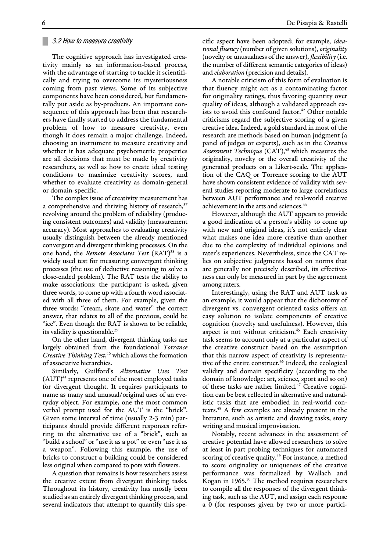#### **█** 3.2 How to measure creativity

The cognitive approach has investigated creativity mainly as an information-based process, with the advantage of starting to tackle it scientifically and trying to overcome its mysteriousness coming from past views. Some of its subjective components have been considered, but fundamentally put aside as by-products. An important consequence of this approach has been that researchers have finally started to address the fundamental problem of how to measure creativity, even though it does remain a major challenge. Indeed, choosing an instrument to measure creativity and whether it has adequate psychometric properties are all decisions that must be made by creativity researchers, as well as how to create ideal testing conditions to maximize creativity scores, and whether to evaluate creativity as domain-general or domain-specific.

The complex issue of creativity measurement has a comprehensive and thriving history of research, $37$ revolving around the problem of reliability (producing consistent outcomes) and validity (measurement accuracy). Most approaches to evaluating creativity usually distinguish between the already mentioned convergent and divergent thinking processes. On the one hand, the *Remote Associates Test* (RAT)<sup>38</sup> is a widely used test for measuring convergent thinking processes (the use of deductive reasoning to solve a close-ended problem). The RAT tests the ability to make associations: the participant is asked, given three words, to come up with a fourth word associated with all three of them. For example, given the three words: "cream, skate and water" the correct answer, that relates to all of the previous, could be "ice". Even though the RAT is shown to be reliable, its validity is questionable.<sup>39</sup>

On the other hand, divergent thinking tasks are largely obtained from the foundational *Torrance Creative Thinking Test*, <sup>40</sup> which allows the formation of associative hierarchies.

Similarly, Guilford's *Alternative Uses Test*  $(AUT)^{41}$  represents one of the most employed tasks for divergent thought. It requires participants to name as many and unusual/original uses of an everyday object. For example, one the most common verbal prompt used for the AUT is the "brick". Given some interval of time (usually 2-3 min) participants should provide different responses referring to the alternative use of a "brick", such as "build a school" or "use it as a pot" or even "use it as a weapon". Following this example, the use of bricks to construct a building could be considered less original when compared to pots with flowers.

A question that remains is how researchers assess the creative extent from divergent thinking tasks. Throughout its history, creativity has mostly been studied as an entirely divergent thinking process, and several indicators that attempt to quantify this specific aspect have been adopted; for example, *ideational fluency* (number of given solutions), *originality* (novelty or unusualness of the answer), *flexibility* (i.e. the number of different semantic categories of ideas) and *elaboration* (precision and details).

A notable criticism of this form of evaluation is that fluency might act as a contaminating factor for originality ratings, thus favoring quantity over quality of ideas, although a validated approach exists to avoid this confound factor.<sup>42</sup> Other notable criticisms regard the subjective scoring of a given creative idea. Indeed, a gold standard in most of the research are methods based on human judgment (a panel of judges or experts), such as in the *Creative Assessment Technique* (CAT),<sup>43</sup> which measures the originality, novelty or the overall creativity of the generated products on a Likert-scale. The application of the CAQ or Torrence scoring to the AUT have shown consistent evidence of validity with several studies reporting moderate to large correlations between AUT performance and real-world creative achievement in the arts and sciences.<sup>44</sup>

However, although the AUT appears to provide a good indication of a person's ability to come up with new and original ideas, it's not entirely clear what makes one idea more creative than another due to the complexity of individual opinions and rater's experiences. Nevertheless, since the CAT relies on subjective judgments based on norms that are generally not precisely described, its effectiveness can only be measured in part by the agreement among raters.

Interestingly, using the RAT and AUT task as an example, it would appear that the dichotomy of divergent vs. convergent oriented tasks offers an easy solution to isolate components of creative cognition (novelty and usefulness). However, this aspect is not without criticism.<sup>45</sup> Each creativity task seems to account only at a particular aspect of the creative construct based on the assumption that this narrow aspect of creativity is representative of the entire construct.<sup>46</sup> Indeed, the ecological validity and domain specificity (according to the domain of knowledge: art, science, sport and so on) of these tasks are rather limited.<sup>47</sup> Creative cognition can be best reflected in alternative and naturalistic tasks that are embodied in real-world contexts.<sup>48</sup> A few examples are already present in the literature, such as artistic and drawing tasks, story writing and musical improvisation.

Notably, recent advances in the assessment of creative potential have allowed researchers to solve at least in part probing techniques for automated scoring of creative quality.<sup>49</sup> For instance, a method to score originality or uniqueness of the creative performance was formalized by Wallach and Kogan in 1965.<sup>50</sup> The method requires researchers to compile all the responses of the divergent thinking task, such as the AUT, and assign each response a 0 (for responses given by two or more partici-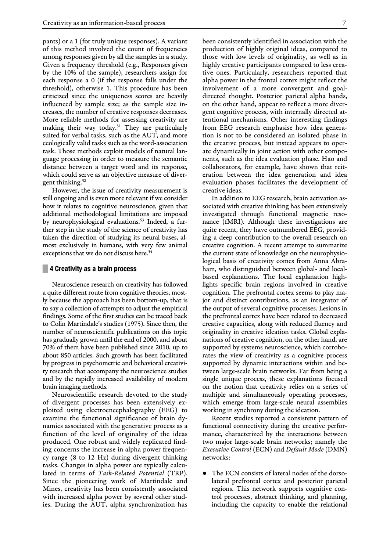pants) or a 1 (for truly unique responses). A variant of this method involved the count of frequencies among responses given by all the samples in a study. Given a frequency threshold (e.g., Responses given by the 10% of the sample), researchers assign for each response a 0 (if the response falls under the threshold), otherwise 1. This procedure has been criticized since the uniqueness scores are heavily influenced by sample size; as the sample size increases, the number of creative responses decreases. More reliable methods for assessing creativity are making their way today.<sup>51</sup> They are particularly suited for verbal tasks, such as the AUT, and more ecologically valid tasks such as the word-association task. Those methods exploit models of natural language processing in order to measure the semantic distance between a target word and its response, which could serve as an objective measure of divergent thinking.<sup>52</sup>

However, the issue of creativity measurement is still ongoing and is even more relevant if we consider how it relates to cognitive neuroscience, given that additional methodological limitations are imposed by neurophysiological evaluations.<sup>53</sup> Indeed, a further step in the study of the science of creativity has taken the direction of studying its neural bases, almost exclusively in humans, with very few animal exceptions that we do not discuss here.<sup>5</sup>

#### **█ 4 Creativity as a brain process**

Neuroscience research on creativity has followed a quite different route from cognitive theories, mostly because the approach has been bottom-up, that is to say a collection of attempts to adjust the empirical findings. Some of the first studies can be traced back to Colin Martindale's studies (1975). Since then, the number of neuroscientific publications on this topic has gradually grown until the end of 2000, and about 70% of them have been published since 2010, up to about 850 articles. Such growth has been facilitated by progress in psychometric and behavioral creativity research that accompany the neuroscience studies and by the rapidly increased availability of modern brain imaging methods.

Neuroscientific research devoted to the study of divergent processes has been extensively exploited using electroencephalography (EEG) to examine the functional significance of brain dynamics associated with the generative process as a function of the level of originality of the ideas produced. One robust and widely replicated finding concerns the increase in alpha power frequency range (8 to 12 Hz) during divergent thinking tasks. Changes in alpha power are typically calculated in terms of *Task-Related Potential* (TRP). Since the pioneering work of Martindale and Mines, creativity has been consistently associated with increased alpha power by several other studies. During the AUT, alpha synchronization has

been consistently identified in association with the production of highly original ideas, compared to those with low levels of originality, as well as in highly creative participants compared to less creative ones. Particularly, researchers reported that alpha power in the frontal cortex might reflect the involvement of a more convergent and goaldirected thought. Posterior parietal alpha bands, on the other hand, appear to reflect a more divergent cognitive process, with internally directed attentional mechanisms. Other interesting findings from EEG research emphasise how idea generation is not to be considered an isolated phase in the creative process, but instead appears to operate dynamically in joint action with other components, such as the idea evaluation phase. Hao and collaborators, for example, have shown that reiteration between the idea generation and idea evaluation phases facilitates the development of creative ideas.

In addition to EEG research, brain activation associated with creative thinking has been extensively investigated through functional magnetic resonance (fMRI). Although these investigations are quite recent, they have outnumbered EEG, providing a deep contribution to the overall research on creative cognition. A recent attempt to summarize the current state of knowledge on the neurophysiological basis of creativity comes from Anna Abraham, who distinguished between global- and localbased explanations. The local explanation highlights specific brain regions involved in creative cognition. The prefrontal cortex seems to play major and distinct contributions, as an integrator of the output of several cognitive processes. Lesions in the prefrontal cortex have been related to decreased creative capacities, along with reduced fluency and originality in creative ideation tasks. Global explanations of creative cognition, on the other hand, are supported by systems neuroscience, which corroborates the view of creativity as a cognitive process supported by dynamic interactions within and between large-scale brain networks. Far from being a single unique process, these explanations focused on the notion that creativity relies on a series of multiple and simultaneously operating processes, which emerge from large-scale neural assemblies working in synchrony during the ideation.

Recent studies reported a consistent pattern of functional connectivity during the creative performance, characterized by the interactions between two major large-scale brain networks; namely the *Executive Control* (ECN) and *Default Mode* (DMN) networks:

● The ECN consists of lateral nodes of the dorsolateral prefrontal cortex and posterior parietal regions. This network supports cognitive control processes, abstract thinking, and planning, including the capacity to enable the relational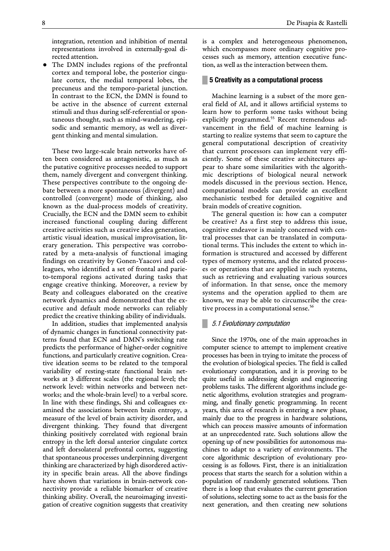integration, retention and inhibition of mental representations involved in externally-goal directed attention.

The DMN includes regions of the prefrontal cortex and temporal lobe, the posterior cingulate cortex, the medial temporal lobes, the precuneus and the temporo-parietal junction. In contrast to the ECN, the DMN is found to be active in the absence of current external stimuli and thus during self-referential or spontaneous thought, such as mind-wandering, episodic and semantic memory, as well as divergent thinking and mental simulation.

These two large-scale brain networks have often been considered as antagonistic, as much as the putative cognitive processes needed to support them, namely divergent and convergent thinking. These perspectives contribute to the ongoing debate between a more spontaneous (divergent) and controlled (convergent) mode of thinking, also known as the dual-process models of creativity. Crucially, the ECN and the DMN seem to exhibit increased functional coupling during different creative activities such as creative idea generation, artistic visual ideation, musical improvisation, literary generation. This perspective was corroborated by a meta-analysis of functional imaging findings on creativity by Gonen-Yaacovi and colleagues, who identified a set of frontal and parieto-temporal regions activated during tasks that engage creative thinking. Moreover, a review by Beaty and colleagues elaborated on the creative network dynamics and demonstrated that the executive and default mode networks can reliably predict the creative thinking ability of individuals.

In addition, studies that implemented analysis of dynamic changes in functional connectivity patterns found that ECN and DMN's switching rate predicts the performance of higher-order cognitive functions, and particularly creative cognition. Creative ideation seems to be related to the temporal variability of resting-state functional brain networks at 3 different scales (the regional level; the network level: within networks and between networks; and the whole-brain level) to a verbal score. In line with these findings, Shi and colleagues examined the associations between brain entropy, a measure of the level of brain activity disorder, and divergent thinking. They found that divergent thinking positively correlated with regional brain entropy in the left dorsal anterior cingulate cortex and left dorsolateral prefrontal cortex, suggesting that spontaneous processes underpinning divergent thinking are characterized by high disordered activity in specific brain areas. All the above findings have shown that variations in brain-network connectivity provide a reliable biomarker of creative thinking ability. Overall, the neuroimaging investigation of creative cognition suggests that creativity

is a complex and heterogeneous phenomenon, which encompasses more ordinary cognitive processes such as memory, attention executive function, as well as the interaction between them.

#### **█ 5 Creativity as a computational process**

Machine learning is a subset of the more general field of AI, and it allows artificial systems to learn how to perform some tasks without being explicitly programmed.<sup>55</sup> Recent tremendous advancement in the field of machine learning is starting to realize systems that seem to capture the general computational description of creativity that current processors can implement very efficiently. Some of these creative architectures appear to share some similarities with the algorithmic descriptions of biological neural network models discussed in the previous section. Hence, computational models can provide an excellent mechanistic testbed for detailed cognitive and brain models of creative cognition.

The general question is: how can a computer be creative? As a first step to address this issue, cognitive endeavor is mainly concerned with central processes that can be translated in computational terms. This includes the extent to which information is structured and accessed by different types of memory systems, and the related processes or operations that are applied in such systems, such as retrieving and evaluating various sources of information. In that sense, once the memory systems and the operation applied to them are known, we may be able to circumscribe the creative process in a computational sense.<sup>56</sup>

#### **█** 5.1 Evolutionary computation

Since the 1970s, one of the main approaches in computer science to attempt to implement creative processes has been in trying to imitate the process of the evolution of biological species. The field is called evolutionary computation, and it is proving to be quite useful in addressing design and engineering problems tasks. The different algorithms include genetic algorithms, evolution strategies and programming, and finally genetic programming. In recent years, this area of research is entering a new phase, mainly due to the progress in hardware solutions, which can process massive amounts of information at an unprecedented rate. Such solutions allow the opening up of new possibilities for autonomous machines to adapt to a variety of environments. The core algorithmic description of evolutionary processing is as follows. First, there is an initialization process that starts the search for a solution within a population of randomly generated solutions. Then there is a loop that evaluates the current generation of solutions, selecting some to act as the basis for the next generation, and then creating new solutions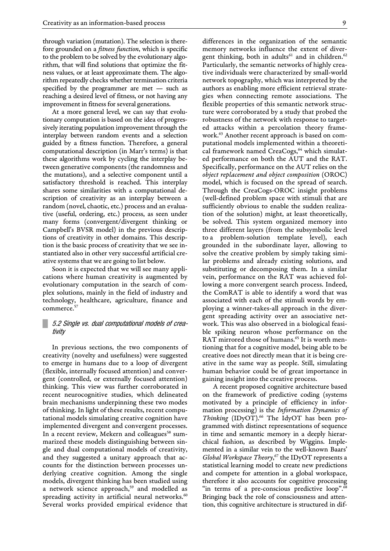through variation (mutation). The selection is therefore grounded on a *fitness function*, which is specific to the problem to be solved by the evolutionary algorithm, that will find solutions that optimize the fitness values, or at least approximate them. The algorithm repeatedly checks whether termination criteria specified by the programmer are met — such as reaching a desired level of fitness, or not having any improvement in fitness for several generations.

At a more general level, we can say that evolutionary computation is based on the idea of progressively iterating population improvement through the interplay between random events and a selection guided by a fitness function. Therefore, a general computational description (in Marr's terms) is that these algorithms work by cycling the interplay between generative components (the randomness and the mutations), and a selective component until a satisfactory threshold is reached. This interplay shares some similarities with a computational description of creativity as an interplay between a random (novel, chaotic, etc.) process and an evaluative (useful, ordering, etc.) process, as seen under many forms (convergent/divergent thinking or Campbell's BVSR model) in the previous descriptions of creativity in other domains. This description is the basic process of creativity that we see instantiated also in other very successful artificial creative systems that we are going to list below.

Soon it is expected that we will see many applications where human creativity is augmented by evolutionary computation in the search of complex solutions, mainly in the field of industry and technology, healthcare, agriculture, finance and commerce.<sup>5</sup>

## **█** 5.2 Single vs. dual computational models of creativity

In previous sections, the two components of creativity (novelty and usefulness) were suggested to emerge in humans due to a loop of divergent (flexible, internally focused attention) and convergent (controlled, or externally focused attention) thinking. This view was further corroborated in recent neurocognitive studies, which delineated brain mechanisms underpinning these two modes of thinking. In light of these results, recent computational models simulating creative cognition have implemented divergent and convergent processes. In a recent review, Mekern and colleagues<sup>58</sup> summarized these models distinguishing between single and dual computational models of creativity, and they suggested a unitary approach that accounts for the distinction between processes underlying creative cognition. Among the single models, divergent thinking has been studied using a network science approach,<sup>59</sup> and modelled as spreading activity in artificial [neural networks.](https://www.sciencedirect.com/topics/neuroscience/neural-networks)<sup>60</sup> Several works provided empirical evidence that

differences in the organization of the semantic memory networks influence the extent of divergent thinking, both in adults<sup>61</sup> and in children.<sup>62</sup> Particularly, the semantic networks of highly creative individuals were characterized by small-world network topography, which was interpreted by the authors as enabling more efficient retrieval strategies when connecting remote associations. The flexible properties of this semantic network structure were corroborated by a study that probed the robustness of the network with response to targeted attacks within a percolation theory framework.<sup>63</sup> Another recent approach is based on computational models implemented within a theoretical framework named CreaCogs,<sup>64</sup> which simulated performance on both the AUT and the RAT. Specifically, performance on the AUT relies on the *object replacement and object composition* (OROC) model, which is focused on the spread of search. Through the CreaCogs-OROC insight problems (well-defined problem space with stimuli that are sufficiently obvious to enable the sudden realization of the solution) might, at least theoretically, be solved. This system organized memory into three different layers (from the subsymbolic level to a problem-solution template level), each grounded in the subordinate layer, allowing to solve the creative problem by simply taking similar problems and already existing solutions, and substituting or decomposing them. In a similar vein, performance on the RAT was achieved following a more convergent search process. Indeed, the ComRAT is able to identify a word that was associated with each of the stimuli words by employing a winner-takes-all approach in the divergent spreading activity over an associative network. This was also observed in a biological feasible spiking neuron whose performance on the RAT mirrored those of humans.<sup>65</sup> It is worth mentioning that for a cognitive model, being able to be creative does not directly mean that it is being creative in the same way as people. Still, simulating human behavior could be of great importance in gaining insight into the creative process.

A recent proposed cognitive architecture based on the framework of predictive coding (systems motivated by a principle of efficiency in information processing) is the *Information Dynamics of Thinking* (IDyOT).<sup>66</sup> The IdyOT has been programmed with distinct representations of sequence in time and semantic memory in a deeply hierarchical fashion, as described by Wiggins. Implemented in a similar vein to the well-known Baars' *Global Workspace Theory*, <sup>67</sup> the IDyOT represents a statistical learning model to create new predictions and compete for attention in a global workspace, therefore it also accounts for cognitive processing "in terms of a pre-conscious predictive loop".<sup>68</sup> Bringing back the role of consciousness and attention, this cognitive architecture is structured in dif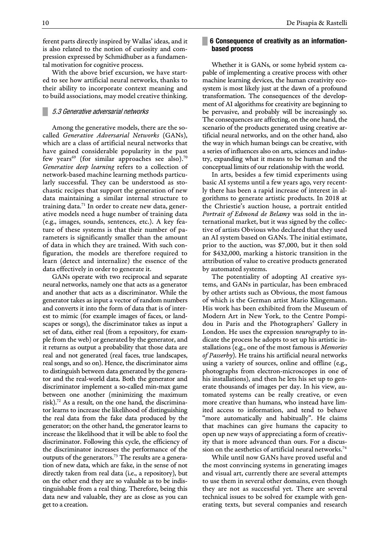ferent parts directly inspired by Wallas' ideas, and it is also related to the notion of curiosity and compression expressed by Schmidhuber as a fundamental motivation for cognitive process.

With the above brief excursion, we have started to see how artificial neural networks, thanks to their ability to incorporate context meaning and to build associations, may model creative thinking.

## **█** 5.3 Generative adversarial networks

Among the generative models, there are the socalled *Generative Adversarial Networks* (GANs), which are a class of artificial neural networks that have gained considerable popularity in the past few years<sup>69</sup> (for similar approaches see also).<sup>70</sup> *Generative deep learning* refers to a collection of network-based machine learning methods particularly successful. They can be understood as stochastic recipes that support the generation of new data maintaining a similar internal structure to training data.<sup>71</sup> In order to create new data, generative models need a huge number of training data (e.g., images, sounds, sentences, etc.). A key feature of these systems is that their number of parameters is significantly smaller than the amount of data in which they are trained. With such configuration, the models are therefore required to learn (detect and internalize) the essence of the data effectively in order to generate it.

GANs operate with two reciprocal and separate neural networks, namely one that acts as a generator and another that acts as a discriminator. While the generator takes as input a vector of random numbers and converts it into the form of data that is of interest to mimic (for example images of faces, or landscapes or songs), the discriminator takes as input a set of data, either real (from a repository, for example from the web) or generated by the generator, and it returns as output a probability that those data are real and not generated (real faces, true landscapes, real songs, and so on). Hence, the discriminator aims to distinguish between data generated by the generator and the real-world data. Both the generator and discriminator implement a so-called min-max game between one another (minimizing the maximum risk).<sup>72</sup> As a result, on the one hand, the discriminator learns to increase the likelihood of distinguishing the real data from the fake data produced by the generator; on the other hand, the generator learns to increase the likelihood that it will be able to fool the discriminator. Following this cycle, the efficiency of the discriminator increases the performance of the outputs of the generators.<sup>73</sup> The results are a generation of new data, which are fake, in the sense of not directly taken from real data (i.e., a repository), but on the other end they are so valuable as to be indistinguishable from a real thing. Therefore, being this data new and valuable, they are as close as you can get to a creation.

#### 10 De Pisapia & Rastelli

## **█ 6 Consequence of creativity as an informationbased process**

Whether it is GANs, or some hybrid system capable of implementing a creative process with other machine learning devices, the human creativity ecosystem is most likely just at the dawn of a profound transformation. The consequences of the development of AI algorithms for creativity are beginning to be pervasive, and probably will be increasingly so. The consequences are affecting, on the one hand, the scenario of the products generated using creative artificial neural networks, and on the other hand, also the way in which human beings can be creative, with a series of influences also on arts, sciences and industry, expanding what it means to be human and the conceptual limits of our relationship with the world.

In arts, besides a few timid experiments using basic AI systems until a few years ago, very recently there has been a rapid increase of interest in algorithms to generate artistic products. In 2018 at the Chriestie's auction house, a portrait entitled *Portrait of Edmond de Belamy* was sold in the international market, but it was signed by the collective of artists Obvious who declared that they used an AI system based on GANs. The initial estimate, prior to the auction, was \$7,000, but it then sold for \$432,000, marking a historic transition in the attribution of value to creative products generated by automated systems.

The potentiality of adopting AI creative systems, and GANs in particular, has been embraced by other artists such as Obvious, the most famous of which is the German artist Mario Klingemann. His work has been exhibited from the Museum of Modern Art in New York, to the Centre Pompidou in Paris and the Photographers' Gallery in London. He uses the expression *neurography* to indicate the process he adopts to set up his artistic installations (e.g., one of the most famous is *Memories of Passerby*). He trains his artificial neural networks using a variety of sources, online and offline (e.g., photographs from electron-microscopes in one of his installations), and then he lets his set up to generate thousands of images per day. In his view, automated systems can be really creative, or even more creative than humans, who instead have limited access to information, and tend to behave "more automatically and habitually". He claims that machines can give humans the capacity to open up new ways of appreciating a form of creativity that is more advanced than ours. For a discussion on the aesthetics of artificial neural networks.<sup>74</sup>

While until now GANs have proved useful and the most convincing systems in generating images and visual art, currently there are several attempts to use them in several other domains, even though they are not as successful yet. There are several technical issues to be solved for example with generating texts, but several companies and research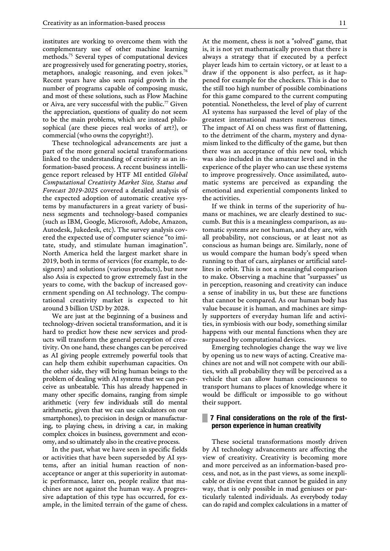institutes are working to overcome them with the complementary use of other machine learning methods.<sup>75</sup> Several types of computational devices are progressively used for generating poetry, stories, metaphors, analogic reasoning, and even jokes.<sup>76</sup> Recent years have also seen rapid growth in the number of programs capable of composing music, and most of these solutions, such as Flow Machine or Aiva, are very successful with the public.<sup>77</sup> Given the appreciation, questions of quality do not seem to be the main problems, which are instead philosophical (are these pieces real works of art?), or commercial (who owns the copyright?).

These technological advancements are just a part of the more general societal transformations linked to the understanding of creativity as an information-based process. A recent business intelligence report released by HTF MI entitled *Global Computational Creativity Market Size, Status and Forecast 2019-2025* covered a detailed analysis of the expected adoption of automatic creative systems by manufacturers in a great variety of business segments and technology-based companies (such as IBM, Google, Microsoft, Adobe, Amazon, Autodesk, Jukedesk, etc). The survey analysis covered the expected use of computer science "to imitate, study, and stimulate human imagination". North America held the largest market share in 2019, both in terms of services (for example, to designers) and solutions (various products), but now also Asia is expected to grow extremely fast in the years to come, with the backup of increased government spending on AI technology. The computational creativity market is expected to hit around 3 billion USD by 2028.

We are just at the beginning of a business and technology-driven societal transformation, and it is hard to predict how these new services and products will transform the general perception of creativity. On one hand, these changes can be perceived as AI giving people extremely powerful tools that can help them exhibit superhuman capacities. On the other side, they will bring human beings to the problem of dealing with AI systems that we can perceive as unbeatable. This has already happened in many other specific domains, ranging from simple arithmetic (very few individuals still do mental arithmetic, given that we can use calculators on our smartphones), to precision in design or manufacturing, to playing chess, in driving a car, in making complex choices in business, government and economy, and so ultimately also in the creative process.

In the past, what we have seen in specific fields or activities that have been superseded by AI systems, after an initial human reaction of nonacceptance or anger at this superiority in automatic performance, later on, people realize that machines are not against the human way. A progressive adaptation of this type has occurred, for example, in the limited terrain of the game of chess. At the moment, chess is not a "solved" game, that is, it is not yet mathematically proven that there is always a strategy that if executed by a perfect player leads him to certain victory, or at least to a draw if the opponent is also perfect, as it happened for example for the checkers. This is due to the still too high number of possible combinations for this game compared to the current computing potential. Nonetheless, the level of play of current AI systems has surpassed the level of play of the greatest international masters numerous times. The impact of AI on chess was first of flattening, to the detriment of the charm, mystery and dynamism linked to the difficulty of the game, but then there was an acceptance of this new tool, which was also included in the amateur level and in the experience of the player who can use these systems to improve progressively. Once assimilated, automatic systems are perceived as expanding the emotional and experiential components linked to the activities.

If we think in terms of the superiority of humans or machines, we are clearly destined to succumb. But this is a meaningless comparison, as automatic systems are not human, and they are, with all probability, not conscious, or at least not as conscious as human beings are. Similarly, none of us would compare the human body's speed when running to that of cars, airplanes or artificial satellites in orbit. This is not a meaningful comparison to make. Observing a machine that "surpasses" us in perception, reasoning and creativity can induce a sense of inability in us, but these are functions that cannot be compared. As our human body has value because it is human, and machines are simply supporters of everyday human life and activities, in symbiosis with our body, something similar happens with our mental functions when they are surpassed by computational devices.

Emerging technologies change the way we live by opening us to new ways of acting. Creative machines are not and will not compete with our abilities, with all probability they will be perceived as a vehicle that can allow human consciousness to transport humans to places of knowledge where it would be difficult or impossible to go without their support.

## **█ 7 Final considerations on the role of the firstperson experience in human creativity**

These societal transformations mostly driven by AI technology advancements are affecting the view of creativity. Creativity is becoming more and more perceived as an information-based process, and not, as in the past views, as some inexplicable or divine event that cannot be guided in any way, that is only possible in mad geniuses or particularly talented individuals. As everybody today can do rapid and complex calculations in a matter of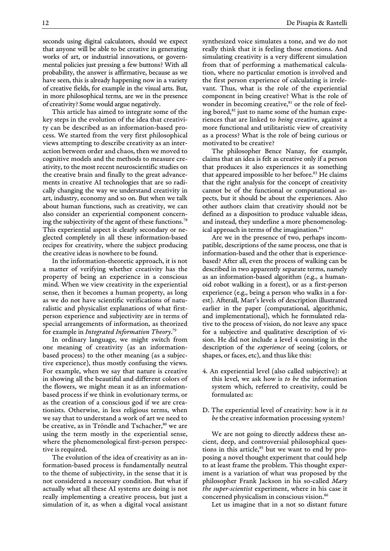seconds using digital calculators, should we expect that anyone will be able to be creative in generating works of art, or industrial innovations, or governmental policies just pressing a few buttons? With all probability, the answer is affirmative, because as we have seen, this is already happening now in a variety of creative fields, for example in the visual arts. But, in more philosophical terms, are we in the presence of creativity? Some would argue negatively.

This article has aimed to integrate some of the key steps in the evolution of the idea that creativity can be described as an information-based process. We started from the very first philosophical views attempting to describe creativity as an interaction between order and chaos, then we moved to cognitive models and the methods to measure creativity, to the most recent neuroscientific studies on the creative brain and finally to the great advancements in creative AI technologies that are so radically changing the way we understand creativity in art, industry, economy and so on. But when we talk about human functions, such as creativity, we can also consider an experiential component concerning the subjectivity of the agent of these functions.<sup>78</sup> This experiential aspect is clearly secondary or neglected completely in all these information-based recipes for creativity, where the subject producing the creative ideas is nowhere to be found.

In the information-theoretic approach, it is not a matter of verifying whether creativity has the property of being an experience in a conscious mind. When we view creativity in the experiential sense, then it becomes a human property, as long as we do not have scientific verifications of naturalistic and physicalist explanations of what firstperson experience and subjectivity are in terms of special arrangements of information, as theorized for example in *Integrated Information Theory*. 79

In ordinary language, we might switch from one meaning of creativity (as an informationbased process) to the other meaning (as a subjective experience), thus mostly confusing the views. For example, when we say that nature is creative in showing all the beautiful and different colors of the flowers, we might mean it as an informationbased process if we think in evolutionary terms, or as the creation of a conscious god if we are creationists. Otherwise, in less religious terms, when we say that to understand a work of art we need to be creative, as in Tröndle and Tschacher,<sup>80</sup> we are using the term mostly in the experiential sense, where the phenomenological first-person perspective is required.

The evolution of the idea of creativity as an information-based process is fundamentally neutral to the theme of subjectivity, in the sense that it is not considered a necessary condition. But what if actually what all these AI systems are doing is not really implementing a creative process, but just a simulation of it, as when a digital vocal assistant

synthesized voice simulates a tone, and we do not really think that it is feeling those emotions. And simulating creativity is a very different simulation from that of performing a mathematical calculation, where no particular emotion is involved and the first person experience of calculating is irrelevant. Thus, what is the role of the experiential component in being creative? What is the role of wonder in becoming creative,<sup>81</sup> or the role of feeling bored, $82$  just to name some of the human experiences that are linked to *being* creative, against a more functional and utilitaristic view of creativity as a process? What is the role of being curious or motivated to be creative?

The philosopher Bence Nanay, for example, claims that an idea is felt as creative only if a person that produces it also experiences it as something that appeared impossible to her before.<sup>83</sup> He claims that the right analysis for the concept of creativity cannot be of the functional or computational aspects, but it should be about the experiences. Also other authors claim that creativity should not be defined as a disposition to produce valuable ideas, and instead, they underline a more phenomenological approach in terms of the imagination.<sup>84</sup>

Are we in the presence of two, perhaps incompatible, descriptions of the same process, one that is information-based and the other that is experiencebased? After all, even the process of walking can be described in two apparently separate terms, namely as an information-based algorithm (e.g., a humanoid robot walking in a forest), or as a first-person experience (e.g., being a person who walks in a forest). Afterall, Marr's levels of description illustrated earlier in the paper (computational, algorithmic, and implementational), which he formulated relative to the process of vision, do not leave any space for a subjective and qualitative description of vision. He did not include a level 4 consisting in the description of the *experience* of seeing (colors, or shapes, or faces, etc), and thus like this:

- 4. An experiential level (also called subjective): at this level, we ask how is *to be* the information system which, referred to creativity, could be formulated as:
- D. The experiential level of creativity: how is it *to be* the creative information processing system?

We are not going to directly address these ancient, deep, and controversial philosophical questions in this article, $85$  but we want to end by proposing a novel thought experiment that could help to at least frame the problem. This thought experiment is a variation of what was proposed by the philosopher Frank Jackson in his so-called *Mary the super-scientist* experiment, where in his case it concerned physicalism in conscious vision.<sup>86</sup>

Let us imagine that in a not so distant future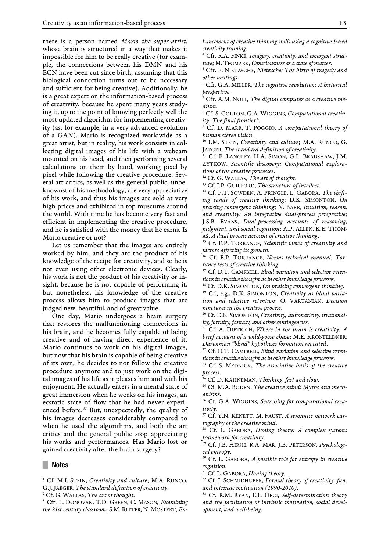there is a person named *Mario the super-artist*, whose brain is structured in a way that makes it impossible for him to be really creative (for example, the connections between his DMN and his ECN have been cut since birth, assuming that this biological connection turns out to be necessary and sufficient for being creative). Additionally, he is a great expert on the information-based process of creativity, because he spent many years studying it, up to the point of knowing perfectly well the most updated algorithm for implementing creativity (as, for example, in a very advanced evolution of a GAN). Mario is recognized worldwide as a great artist, but in reality, his work consists in collecting digital images of his life with a webcam mounted on his head, and then performing several calculations on them by hand, working pixel by pixel while following the creative procedure. Several art critics, as well as the general public, unbeknownst of his methodology, are very appreciative of his work, and thus his images are sold at very high prices and exhibited in top museums around the world. With time he has become very fast and efficient in implementing the creative procedure, and he is satisfied with the money that he earns. Is Mario creative or not?

Let us remember that the images are entirely worked by him, and they are the product of his knowledge of the recipe for creativity, and so he is not even using other electronic devices. Clearly, his work is not the product of his creativity or insight, because he is not capable of performing it, but nonetheless, his knowledge of the creative process allows him to produce images that are judged new, beautiful, and of great value.

One day, Mario undergoes a brain surgery that restores the malfunctioning connections in his brain, and he becomes fully capable of being creative and of having direct experience of it. Mario continues to work on his digital images, but now that his brain is capable of being creative of its own, he decides to not follow the creative procedure anymore and to just work on the digital images of his life as it pleases him and with his enjoyment. He actually enters in a mental state of great immersion when he works on his images, an ecstatic state of flow that he had never experienced before.<sup>87</sup> But, unexpectedly, the quality of his images decreases considerably compared to when he used the algorithms, and both the art critics and the general public stop appreciating his works and performances. Has Mario lost or gained creativity after the brain surgery?

#### **█ Notes**

*hancement of creative thinking skills using a cognitive-based creativity training*.

<sup>4</sup> Cfr. R.A. FINKE, *Imagery, creativity, and emergent structure*; M.TEGMARK, *Consciousness as a state of matter*.

<sup>5</sup> Cfr. F. NIETZSCHE, *Nietzsche: The birth of tragedy and other writings*.

<sup>6</sup> Cfr. G.A. MILLER, *The cognitive revolution: A historical perspective*.

<sup>7</sup> Cfr. A.M. NOLL, *The digital computer as a creative medium*.

<sup>8</sup> Cf. S. COLTON, G.A. WIGGINS, *Computational creativity: The final frontier?*.

<sup>9</sup> Cf. D. MARR, T. POGGIO, *A computational theory of human stereo vision*.

<sup>10</sup> I.M. STEIN, *Creativity and culture*; M.A. RUNCO, G. JAEGER, *The standard definition of creativity*.

<sup>11</sup> Cf. P. LANGLEY, H.A. SIMON, G.L. BRADSHAW, J.M. ZYTKOW, *Scientific discovery: Computational explorations of the creative processes*.

<sup>12</sup> Cf. G. WALLAS, *The art of thought*.

<sup>13</sup> Cf. J.P. GUILFORD, *The structure of intellect*.

<sup>14</sup> Cf. P.T. SOWDEN, A. PRINGLE, L. GABORA, The shift*ing sands of creative thinking*; D.K. SIMONTON, *On praising convergent thinking*; N. BARR, *Intuition, reason, and creativity: An integrative dual-process perspective*; J.S.B. EVANS, *Dual-processing accounts of reasoning*, *judgment, and social cognition*; A.P. ALLEN, K.E. THOM-AS, *A dual process account of creative thinking*.

<sup>15</sup> Cf. E.P. TORRANCE, *Scientific views of creativity and factors affecting its growth*.

<sup>16</sup> Cf. E.P. TORRANCE, *Norms-technical manual: Torrance tests of creative thinking*.

<sup>17</sup> Cf. D.T. CAMPBELL, *Blind variation and selective retentions in creative thought as in other knowledge processes*.

<sup>18</sup> Cf. D.K. SIMONTON, *On praising convergent thinking*. <sup>19</sup> Cf., e.g., D.K. SIMONTON, *Creativity as blind varia-*

*tion and selective retention*; O. VARTANIAN, *Decision junctures in the creative process*.

<sup>20</sup> Cf. D.K. SIMONTON, *Creativity, automaticity, irrationality, fortuity, fantasy, and other contingencies*.

<sup>21</sup> Cf. A. DIETRICH, *Where in the brain is creativity: A brief account of a wild-goose chase*; M.E. KRONFELDNER, *Darwinian "blind" hypothesis formation revisited*.

<sup>22</sup> Cf. D.T. CAMPBELL, *Blind variation and selective retentions in creative thought as in other knowledge processes*.

<sup>23</sup> Cf. S. MEDNICK, *The associative basis of the creative process*.

<sup>24</sup> Cf. D. KAHNEMAN, *Thinking, fast and slow*.

<sup>25</sup> Cf. M.A. BODEN, *The creative mind: Myths and mechanisms*.

<sup>26</sup> Cf. G.A. WIGGINS, *Searching for computational creativity*.

<sup>27</sup> Cf. Y.N. KENETT, M. FAUST, *A semantic network cartography of the creative mind*.

<sup>28</sup> Cf. L. GABORA, *Honing theory: A complex systems framework for creativity*.

<sup>29</sup> Cf. J.B. HIRSH, R.A. MAR, J.B. PETERSON, *Psychological entropy*.

<sup>30</sup> Cf. L. GABORA, *A possible role for entropy in creative cognition*.

<sup>31</sup> Cf. L. GABORA, *Honing theory.*

<sup>32</sup> Cf. J. SCHMIDHUBER, *Formal theory of creativity, fun, and intrinsic motivation (1990-2010)*.

<sup>33</sup> Cf. R.M. RYAN, E.L. DECI, *Self-determination theory and the facilitation of intrinsic motivation, social development, and well-being*.

<sup>&</sup>lt;sup>1</sup> Cf. M.I. STEIN, *Creativity and culture*; M.A. RUNCO, G.J. JAEGER, *The standard definition of creativity*.

<sup>2</sup> Cf. G. WALLAS, *The art of thought*.

<sup>3</sup> Cfr. L. DONOVAN, T.D. GREEN, C. MASON, *Examining the 21st century classroom*; S.M. RITTER, N. MOSTERT, *En-*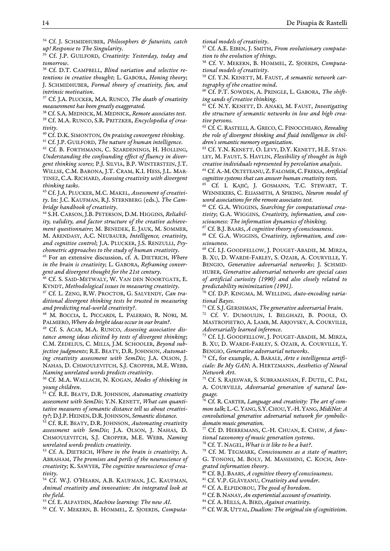<sup>34</sup> Cf. J. SCHMIDHUBER, *Philosophers & futurists, catch up! Response to The Singularity*.

<sup>35</sup> Cf. J.P. GUILFORD, *Creativity: Yesterday, today and tomorrow*.

<sup>36</sup> Cf. D.T. CAMPBELL, *Blind variation and selective retentions in creative thought*; L. GABORA, *Honing theory*; J. SCHMIDHUBER, *Formal theory of creativity, fun, and intrinsic motivation*.

<sup>37</sup> Cf. J.A. PLUCKER, M.A. RUNCO, *The death of creativity measurement has been greatly exaggerated*.

<sup>38</sup> Cf. S.A. MEDNICK, M. MEDNICK, *Remote associates test*. <sup>39</sup> Cf. M.A. RUNCO, S.R. PRITZKER, *Encyclopedia of creativity*.

<sup>40</sup> Cf. D.K. SIMONTON, *On praising convergent thinking*.

<sup>41</sup> Cf. J.P. GUILFORD, *The nature of human intelligence*.

<sup>42</sup> Cf. B. FORTHMANN, C. SZARDENINGS, H. HOLLING, *Understanding the confounding effect of fluency in divergent thinking scores*; P.J. SILVIA, B.P. WINTERSTEIN, J.T. WILLSE, C.M. BARONA, J.T. CRAM, K.I. HESS, J.L. MAR-TINEZ, C.A. RICHARD, *Assessing creativity with divergent thinking tasks*.

<sup>43</sup> Cf. J.A. PLUCKER, M.C. MAKEL, *Assessment of creativity*. In: J.C. KAUFMAN, R.J. STERNBERG (eds.), *The Cambridge handbook of creativity*.

<sup>44</sup> S.H. CARSON, J.B. PETERSON, D.M. HIGGINS, *Reliability, validity, and factor structure of the creative achievement questionnaire*; M. BENEDEK, E. JAUK, M. SOMMER, M. ARENDASY, A.C. NEUBAUER, *Intelligence, creativity, and cognitive control*; J.A. PLUCKER, J.S. RENZULLI, *Psychometric approaches to the study of human creativity*.

<sup>45</sup> For an extensive discussion, cf. A. DIETRICH, *Where in the brain is creativity*; L. GABORA, *Reframing convergent and divergent thought for the 21st century*.

Cf. S. SAID-METWALY, W. VAN DEN NOORTGATE, E. KYNDT, *Methodological issues in measuring creativity*.

<sup>47</sup> Cf. L. ZENG, R.W. PROCTOR, G. SALVENDY, *Can traditional divergent thinking tests be trusted in measuring and predicting real-world creativity?*.

<sup>48</sup> M. BOCCIA, L. PICCARDI, L. PALERMO, R. NORI, M. PALMIERO, *Where do bright ideas occur in our brain?*.

<sup>49</sup> Cf. S. ACAR, M.A. RUNCO, *Assessing associative distance among ideas elicited by tests of divergent thinking*; C.M. ZEDELIUS, C. MILLS, J.M. SCHOOLER, *Beyond subjective judgments*; R.E. BEATY, D.R. JOHNSON, *Automating creativity assessment with SemDis*; J.A. OLSON, J. NAHAS, D. CHMOULEVITCH, S.J. CROPPER, M.E. WEBB, *Naming unrelated words predicts creativity*.

<sup>50</sup> Cf. M.A. WALLACH, N. KOGAN, *Modes of thinking in young children*.

<sup>51</sup> Cf. R.E. BEATY, D.R. JOHNSON, *Automating creativity assessment with SemDis*; Y.N. KENETT, *What can quantitative measures of semantic distance tell us about creativity?*; D.J.P. HEINEN, D.R.JOHNSON, *Semantic distance*.

<sup>52</sup> Cf. R.E. BEATY, D.R. JOHNSON, *Automating creativity assessment with SemDis*; J.A. OLSON, J. NAHAS, D. CHMOULEVITCH, S.J. CROPPER, M.E. WEBB, *Naming unrelated words predicts creativity*.

<sup>53</sup> Cf. A. DIETRICH, *Where in the brain is creativity*; A. ABRAHAM, *The promises and perils of the neuroscience of creativity*; K. SAWYER, *The cognitive neuroscience of creativity*.

<sup>54</sup> Cf. W.J. O'HEARN, A.B. KAUFMAN, J.C. KAUFMAN, *Animal creativity and innovation: An integrated look at the field*.

<sup>55</sup> Cf. E. ALPAYDIN, *Machine learning: The new AI*.

<sup>56</sup> Cf. V. MEKERN, B. HOMMEL, Z. SJOERDS, *Computa-*

*tional models of creativity*.

<sup>57</sup> Cf. A.E. EIBEN, J. SMITH, *From evolutionary computation to the evolution of things*.

<sup>58</sup> Cf. V. MEKERN, B. HOMMEL, Z. SJOERDS, *Computational models of creativity*.

<sup>59</sup> Cf. Y.N. KENETT, M. FAUST, *A semantic network cartography of the creative mind*.

<sup>60</sup> Cf. P.T. SOWDEN, A. PRINGLE, L. GABORA, *The shifting sands of creative thinking*.

<sup>61</sup> Cf. N.Y. KENETT, D. ANAKI, M. FAUST, *Investigating the structure of semantic networks in low and high creative persons*.

<sup>62</sup> Cf. C. RASTELLI, A. GRECO, C. FINOCCHIARO, *Revealing the role of divergent thinking and fluid intelligence in children's semantic memory organization*.

<sup>63</sup> Cf. Y.N. KENETT, O. LEVY, D.Y. KENETT, H.E. STAN-LEY, M. FAUST, S. HAVLIN, *Flexibility of thought in high creative individuals represented by percolation analysis*.

<sup>64</sup> Cf. A.-M.OLTETEANU,Z. FALOMIR,C. FREKSA, *Artificial cognitive systems that can answer human creativity tests*.

<sup>65</sup> Cf. I. KAJIĆ, J. GOSMANN, T.C. STEWART, T. WENNEKERS, C. ELIASMITH, A SPIKING, *Neuron model of word associations for the remote associates test*.

<sup>66</sup> Cf. G.A. WIGGINS, *Searching for computational creativity*; G.A. WIGGINS, *Creativity, information, and consciousness: The information dynamics of thinking*. <sup>67</sup> Cf. B.J. BAARS, *A cognitive theory of consciousness*.

<sup>68</sup> Cf. G.A. WIGGINS, *Creativity, information, and consciousness*.

<sup>69</sup> Cf. I.J. GOODFELLOW, J. POUGET-ABADIE, M. MIRZA, B. XU, D. WARDE-FARLEY, S. OZAIR, A. COURVILLE, Y. BENGIO, *Generative adversarial networks*; J. SCHMID-HUBER, *Generative adversarial networks are special cases of artificial curiosity (1990) and also closely related to predictability minimization (1991)*.

<sup>70</sup> Cf. D.P. KINGMA, M. WELLING, *Auto-encoding variational Bayes*.

<sup>71</sup> Cf. S.J. GERSHMAN, *The generative adversarial brain*.

<sup>72</sup> Cf. V. DUMOULIN, I. BELGHAZI, B. POOLE, O. MASTROPIETRO, A. LAMB, M. ARJOVSKY, A. COURVILLE, *Adversarially learned inference*.

<sup>73</sup> Cf. I.J. GOODFELLOW, J. POUGET-ABADIE, M. MIRZA, B. XU, D. WARDE-FARLEY, S. OZAIR, A. COURVILLE, Y. BENGIO, *Generative adversarial networks*.

<sup>74</sup> Cf., for example, A. BARALE, *Arte e intelligenza artificiale: Be My GAN*; A. HERTZMANN, *Aesthetics of Neural Network Art*.

<sup>75</sup> Cf. S. RAJESWAR, S. SUBRAMANIAN, F. DUTIL, C. PAL, A. COURVILLE, *Adversarial generation of natural language.*

<sup>76</sup> Cf. R. CARTER, *Language and creativity: The art of common talk*; L.-C.YANG, S.Y.CHOU,Y.-H.YANG, *MidiNet: A convolutional generative adversarial network for symbolicdomain music generation*.

<sup>77</sup> Cf. D. HERREMANS, C.-H. CHUAN, E. CHEW, *A functional taxonomy of music generation systems*.

<sup>78</sup> Cf. T. NAGEL, *What is it like to be a bat?*.

<sup>79</sup> Cf. M. TEGMARK, *Consciousness as a state of matter*; G. TONONI, M. BOLY, M. MASSIMINI, C. KOCH, *Integrated information theory*.

<sup>80</sup> Cf. B.J. BAARS, *A cognitive theory of consciousness*.

<sup>81</sup> Cf. V.P. GLĂVEANU, *Creativity and wonder*.

<sup>82</sup> Cf. A. ELPIDOROU, *The good of boredom*.

<sup>83</sup> Cf. B.NANAY, *An experiential account of creativity*.

<sup>84</sup> Cf. A. HILLS, A. BIRD, *Against creativity*.

<sup>85</sup> Cf. W.R.UTTAL, *Dualism: The original sin of cognitivism*.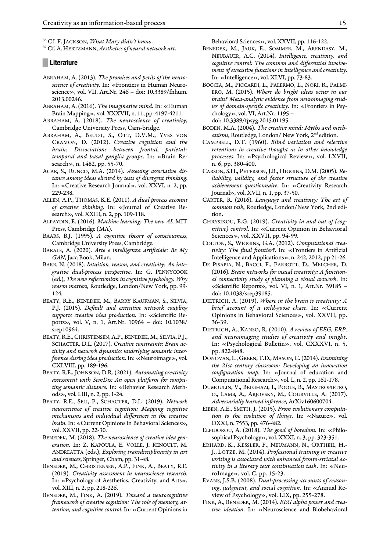<sup>86</sup> Cf. F. JACKSON, *What Mary didn't know*.

<sup>87</sup> Cf. A. HERTZMANN, *Aesthetics of neural network art*.

#### **█ Literature**

- ABRAHAM, A. (2013). *The promises and perils of the neuroscience of creativity*. In: «Frontiers in Human Neuroscience», vol. VII, Art.Nr. 246 – doi: 10.3389/fnhum. 2013.00246.
- ABRAHAM, A. (2016). *The imaginative mind*. In: «Human Brain Mapping», vol. XXXVII, n. 11, pp. 4197-4211.
- ABRAHAM, A. (2018). *The neuroscience of creativity*, Cambridge University Press, Cam-bridge.
- ABRAHAM, A., BEUDT, S., OTT, D.V.M., YVES VON CRAMON, D. (2012). *Creative cognition and the brain: Dissociations between frontal, parietaltemporal and basal ganglia groups*. In: «Brain Research», n. 1482, pp. 55-70.
- ACAR, S., RUNCO, M.A. (2014). *Assessing associative distance among ideas elicited by tests of divergent thinking*. In: «Creative Research Journal», vol. XXVI, n. 2, pp. 229-238.
- ALLEN, A.P., THOMAS, K.E. (2011). *A dual process account of creative thinking*. In: «Journal of Creative Research», vol. XXIII, n. 2, pp. 109-118.
- ALPAYDIN, E. (2016). *Machine learning: The new AI*, MIT Press, Cambridge (MA).
- BAARS, B.J. (1995). *A cognitive theory of consciousness*, Cambridge University Press, Cambridge.
- BARALE, A. (2020). *Arte e intelligenza artificiale: Be My GAN*, Jaca Book, Milan.
- BARR, N. (2018). *Intuition, reason, and creativity: An integrative dual-process perspective*. In: G. PENNYCOOK (ed.), *The new reflectionism in cognitive psychology. Why reason matters*, Routledge, London/New York, pp. 99- 124.
- BEATY, R.E., BENEDEK, M., BARRY KAUFMAN, S., SILVIA, P.J. (2015). *Default and executive network coupling supports creative idea production*. In: «Scientific Reports», vol. V, n. 1, Art.Nr. 10964 – doi: 10.1038/ srep10964.
- BEATY, R.E., CHRISTENSEN, A.P., BENEDEK, M., SILVIA, P.J., SCHACTER, D.L. (2017). *Creative constraints: Brain activity and network dynamics underlying semantic interference during idea production*. In: «Neuroimage», vol. CXLVIII, pp. 189-196.
- BEATY, R.E., JOHNSON, D.R. (2021). *Automating creativity assessment with SemDis: An open platform for computing semantic distance*. In: «Behavior Research Methods», vol. LIII, n. 2, pp. 1-24.
- BEATY, R.E., SELI, P., SCHACTER, D.L. (2019). *Network neuroscience of creative cognition: Mapping cognitive mechanisms and individual differences in the creative brain*. In: «Current Opinions in Behavioral Sciences», vol. XXVII, pp. 22-30.
- BENEDEK, M. (2018). *The neuroscience of creative idea generation*. In: Z. KAPOULA, E. VOLLE, J. RENOULT, M. ANDREATTA (eds.), *Exploring transdisciplinarity in art and sciences*, Springer, Cham, pp. 31-48.
- BENEDEK, M., CHRISTENSEN, A.P., FINK, A., BEATY, R.E. (2019). *Creativity assessment in neuroscience research*. In: «Psychology of Aesthetics, Creativity, and Arts», vol. XIII, n. 2, pp. 218-226.
- BENEDEK, M., FINK, A. (2019). *Toward a neurocognitive framework of creative cognition: The role of memory, attention, and cognitive control*. In: «Current Opinions in
- BENEDEK, M., JAUK, E., SOMMER, M., ARENDASY, M., NEUBAUER, A.C. (2014). *Intelligence, creativity, and cognitive control: The common and differential involvement of executive functions in intelligence and creativity*. In: «Intelligence», vol. XLVI, pp. 73-83.
- BOCCIA, M., PICCARDI, L., PALERMO, L., NORI, R., PALMI-ERO, M. (2015). *Where do bright ideas occur in our brain? Meta-analytic evidence from neuroimaging studies of domain-specific creativity*. In: «Frontiers in Psychology», vol. VI, Art.Nr. 1195 – doi: 10.3389/fpsyg.2015.01195.
- BODEN, M.A. (2004). *The creative mind: Myths and mechanisms*, Routledge, London/ New York, 2nd edition.
- CAMPBELL, D.T. (1960). *Blind variation and selective retentions in creative thought as in other knowledge processes*. In: «Psychological Review», vol. LXVII, n. 6, pp. 380-400.
- CARSON, S.H., PETERSON, J.B., HIGGINS, D.M. (2005). *Reliability, validity, and factor structure of the creative achievement questionnaire*. In: «Creativity Research Journal», vol. XVII, n. 1, pp. 37-50.
- CARTER, R. (2016). *Language and creativity: The art of common talk*, Routledge, London/New York, 2nd edition.
- CHRYSIKOU, E.G. (2019). *Creativity in and out of (cognitive) control*. In: «Current Opinion in Behavioral Sciences», vol. XXVII, pp. 94-99.
- COLTON, S., WIGGINS, G.A. (2012). *Computational creativity: The final frontier?*. In: «Frontiers in Artificial Intelligence and Applications», n. 242, 2012, pp 21-26.
- DE PISAPIA, N., BACCI, F., PARROTT, D., MELCHER, D. (2016). *Brain networks for visual creativity: A functional connectivity study of planning a visual artwork*. In: «Scientific Reports», vol. VI, n. 1, Art.Nr. 39185 – doi: 10.1038/srep39185.
- DIETRICH, A. (2019). *Where in the brain is creativity: A brief account of a wild-goose chase*. In: «Current Opinions in Behavioral Sciences», vol. XXVII, pp. 36-39.
- DIETRICH, A., KANSO, R. (2010). *A review of EEG, ERP, and neuroimaging studies of creativity and insight*. In: «Psychological Bulletin», vol. CXXXVI, n. 5, pp. 822-848.
- DONOVAN,L.,GREEN,T.D.,MASON, C. (2014). *Examining the 21st century classroom: Developing an innovation configuration map*. In: «Journal of education and Computational Research», vol. L, n. 2, pp. 161-178.
- DUMOULIN, V., BELGHAZI, I., POOLE, B., MASTROPIETRO, O., LAMB, A., ARJOVSKY, M., COURVILLE, A. (2017). *Adversarially learned inference*, ArXiv160600704.
- EIBEN, A.E., SMITH, J. (2015). *From evolutionary computation to the evolution of things*. In: «Nature», vol. DXXI, n. 7553, pp. 476-482.
- ELPIDOROU, A. (2018). *The good of boredom*. In: «Philosophical Psychology», vol. XXXI, n. 3, pp. 323-351.
- ERHARD, K., KESSLER, F., NEUMANN, N., ORTHEIL, H.- J., LOTZE, M. (2014). *Professional training in creative writing is associated with enhanced fronto-striatal activity in a literary text continuation task*. In: «NeuroImage», vol. C, pp. 15-23.
- EVANS, J.S.B. (2008). *Dual-processing accounts of reasoning*, *judgment, and social cognition*. In: «Annual Review of Psychology», vol. LIX, pp. 255-278.
- FINK, A., BENEDEK, M. (2014). *EEG alpha power and creative ideation*. In: «Neuroscience and Biobehavioral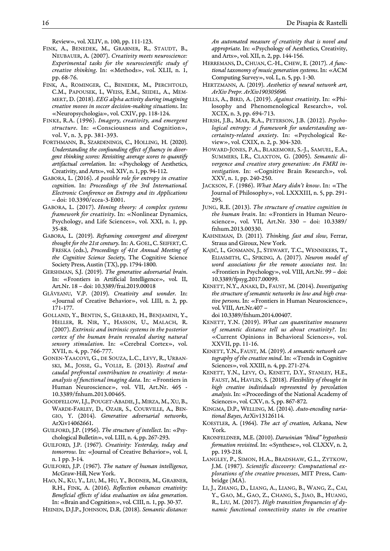Review», vol. XLIV, n. 100, pp. 111-123.

- FINK, A., BENEDEK, M., GRABNER, R., STAUDT, B., NEUBAUER, A. (2007). *Creativity meets neuroscience: Experimental tasks for the neuroscientific study of creative thinking*. In: «Methods», vol. XLII, n. 1, pp. 68-76.
- FINK, A., ROMINGER, C., BENEDEK, M., PERCHTOLD, C.M., PAPOUSEK, I., WEISS, E.M., SEIDEL, A., MEM-MERT, D. (2018). *EEG alpha activity during imagining creative moves in soccer decision-making situations*. In: «Neuropsychologia», vol. CXIV, pp. 118-124.
- FINKE, R.A. (1996). *Imagery, creativity, and emergent structure*. In: «Consciousness and Cognition», vol. V, n. 3, pp. 381-393.
- FORTHMANN, B., SZARDENINGS, C., HOLLING, H. (2020). *Understanding the confounding effect of fluency in divergent thinking scores: Revisiting average scores to quantify artifactual correlation*. In: «Psychology of Aesthetics, Creativity, and Arts», vol. XIV, n. 1, pp. 94-112.
- GABORA, L. (2016). *A possible role for entropy in creative cognition*. In: *Proceedings of the 3rd International. Electronic Conference on Entropy and its Applications* – doi: 10.3390/ecea-3-E001.
- GABORA, L. (2017). *Honing theory: A complex systems framework for creativity*. In: «Nonlinear Dynamics, Psychology, and Life Sciences», vol. XXI, n. 1, pp. 35-88.
- GABORA, L. (2019). *Reframing convergent and divergent thought for the 21st century*. In: A. GOEL,C. SEIFERT,C. FRESKA (eds.), *Proceedings of 41st Annual Meeting of the Cognitive Science Society*, The Cognitive Science Society Press, Austin (TX), pp. 1794-1800.
- GERSHMAN, S.J. (2019). *The generative adversarial brain*. In: «Frontiers in Artificial Intelligence», vol. II, Art.Nr. 18 – doi: 10.3389/frai.2019.00018
- GLĂVEANU, V.P. (2019). *Creativity and wonder*. In: «Journal of Creative Behavior», vol. LIII, n. 2, pp. 171-177.
- GOLLAND, Y., BENTIN, S., GELBARD, H., BENJAMINI, Y., HELLER, R. NIR, Y., HASSON, U., MALACH, R. (2007). *Extrinsic and intrinsic systems in the posterior cortex of the human brain revealed during natural sensory stimulation*. In: «Cerebral Cortex», vol. XVII, n. 4, pp. 766-777.
- GONEN-YAACOVI, G., DE SOUZA, L.C., LEVY, R., URBAN-SKI, M., JOSSE, G., VOLLE, E. (2013). *Rostral and caudal prefrontal contribution to creativity: A metaanalysis of functional imaging data*. In: «Frontiers in Human Neuroscience», vol. VII, Art.Nr. 465 - 10.3389/fnhum.2013.00465.
- GOODFELLOW,I.J., POUGET-ABADIE,J., MIRZA, M.,XU, B., WARDE-FARLEY, D., OZAIR, S., COURVILLE, A., BEN-GIO, Y. (2014). *Generative adversarial networks*, ArXiv14062661.
- GUILFORD, J.P. (1956). *The structure of intellect*. In: «Psychological Bulletin», vol. LIII, n. 4, pp. 267-293.
- GUILFORD, J.P. (1967). *Creativity: Yesterday, today and tomorrow*. In: «Journal of Creative Behavior», vol. I, n. 1 pp. 3-14.
- GUILFORD, J.P. (1967). *The nature of human intelligence*, McGraw-Hill, New York.
- HAO, N., KU, Y., LIU, M., HU, Y., BODNER, M., GRABNER, R.H., FINK, A. (2016). *Reflection enhances creativity: Beneficial effects of idea evaluation on idea generation*. In: «Brain and Cognition», vol. CIII, n. 1, pp. 30-37.

HEINEN, D.J.P., JOHNSON, D.R. (2018). *Semantic distance:* 

*An automated measure of creativity that is novel and appropriate*. In: «Psychology of Aesthetics, Creativity, and Arts», vol. XII, n. 2, pp. 144-156.

- HERREMANS, D., CHUAN, C.-H., CHEW, E. (2017). *A functional taxonomy of music generation systems*. In: «ACM Computing Survey», vol. L, n. 5, pp. 1-30.
- HERTZMANN, A. (2019). *Aesthetics of neural network art*, *ArXiv Prepr. ArXiv190305696.*
- HILLS, A., BIRD, A. (2019). *Against creativity*. In: «Philosophy and Phenomenological Research», vol. XCIX, n. 3, pp. 694-713.
- HIRSH, J.B., MAR, R.A., PETERSON, J.B. (2012). *Psychological entropy: A framework for understanding uncertainty-related anxiety*. In: «Psychological Review», vol. CXIX, n. 2, p. 304-320.
- HOWARD-JONES, P.A., BLAKEMORE, S.-J., SAMUEL, E.A., SUMMERS, I.R., CLAXTON, G. (2005). *Semantic divergence and creative story generation: An FMRI investigation*. In: «Cognitive Brain Research», vol. XXV, n. 1, pp. 240-250.
- JACKSON, F. (1986). *What Mary didn't know*. In: «The Journal of Philosophy», vol. LXXXIII, n. 5, pp. 291- 295.
- JUNG, R.E. (2013). *The structure of creative cognition in the human brain*. In: «Frontiers in Human Neuroscience», vol. VII, Art.Nr. 330 – doi: 10.3389/ fnhum.2013.00330.
- KAHNEMAN, D. (2011). *Thinking, fast and slow*, Ferrar, Straus and Giroux, New York.
- KAJIĆ, I., GOSMANN, J., STEWART, T.C., WENNEKERS, T., ELIASMITH, C., SPIKING, A. (2017). *Neuron model of word associations for the remote associates test*. In: «Frontiers in Psychology», vol. VIII, Art.Nr. 99 – doi: 10.3389/fpsyg.2017.00099.
- KENETT, N.Y., ANAKI, D., FAUST, M. (2014). *Investigating the structure of semantic networks in low and high creative persons*. In: «Frontiers in Human Neuroscience», vol. VIII, Art.Nr.407 –

doi 10.3389/fnhum.2014.00407.

- KENETT, Y.N. (2019). *What can quantitative measures of semantic distance tell us about creativity?*. In: «Current Opinions in Behavioral Sciences», vol. XXVII, pp. 11-16.
- KENETT, Y.N., FAUST, M. (2019). *A semantic network cartography of the creative mind*. In: «Trends in Cognitive Sciences», vol. XXIII, n. 4, pp. 271-274.
- KENETT, Y.N., LEVY, O., KENETT, D.Y., STANLEY, H.E., FAUST, M., HAVLIN, S. (2018). *Flexibility of thought in high creative individuals represented by percolation analysis*. In: «Proceedings of the National Academy of Sciences», vol. CXV, n. 5, pp. 867-872.
- KINGMA, D.P., WELLING, M. (2014). *Auto-encoding variational Bayes*, ArXiv13126114.
- KOESTLER, A. (1964). *The act of creation*, Arkana, New York.
- KRONFELDNER, M.E. (2010). *Darwinian "blind" hypothesis formation revisited*. In: «Synthese», vol. CLXXV, n. 2, pp. 193-218.
- LANGLEY, P., SIMON, H.A., BRADSHAW, G.L., ZYTKOW, J.M. (1987). *Scientific discovery: Computational explorations of the creative processes*, MIT Press, Cambridge (MA).
- LI, J., ZHANG, D., LIANG, A., LIANG, B., WANG, Z., CAI, Y., GAO, M., GAO, Z., CHANG, S., JIAO, B., HUANG, R., LIU, M. (2017). *High transition frequencies of dynamic functional connectivity states in the creative*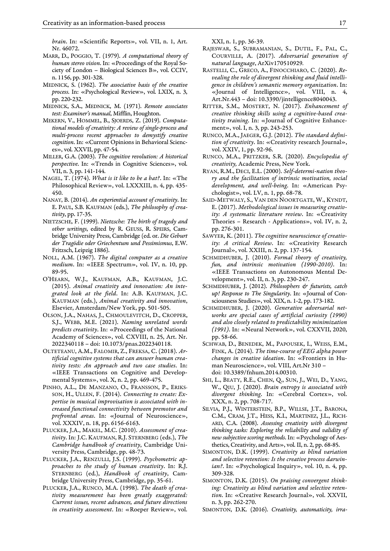*brain*. In: «Scientific Reports», vol. VII, n. 1, Art. Nr. 46072.

- MARR, D., POGGIO, T. (1979). *A computational theory of human stereo vision*. In: «Proceedings of the Royal Society of London – Biological Sciences B», vol. CCIV, n. 1156, pp. 301-328.
- MEDNICK, S. (1962). *The associative basis of the creative process*. In: «Psychological Review», vol. LXIX, n. 3, pp. 220-232.
- MEDNICK, S.A., MEDNICK, M. (1971). *Remote associates test: Examiner's manual*, Mifflin, Houghton.
- MEKERN, V., HOMMEL, B., SJOERDS, Z. (2019). *Computational models of creativity: A review of single-process and multi-process recent approaches to demystify creative cognition*. In: «Current Opinions in Behavioral Sciences», vol. XXVII, pp. 47-54.
- MILLER, G.A. (2003). *The cognitive revolution: A historical perspective*. In: «Trends in Cognitive Sciences», vol. VII, n. 3, pp. 141-144.
- NAGEL, T. (1974). *What is it like to be a bat?*. In: «The Philosophical Review», vol. LXXXIII, n. 4, pp. 435- 450.
- NANAY, B. (2014). *An experiential account of creativity*. In: E. PAUL, S.B. KAUFMAN (eds.), *The philosophy of creativity*, pp. 17-35.
- NIETZSCHE, F. (1999). *Nietzsche: The birth of tragedy and other writings*, edited by R. GEUSS, R. SPEIRS, Cambridge University Press, Cambridge (ed. or. *Die Geburt der Tragödie oder Griechentum und Pessimismus*, E.W. Fritzsch, Leipzig 1886).
- NOLL, A.M. (1967). *The digital computer as a creative medium*. In: «IEEE Spectrum», vol. IV, n. 10, pp. 89-95.
- O'HEARN, W.J., KAUFMAN, A.B., KAUFMAN, J.C. (2015). *Animal creativity and innovation: An integrated look at the field*. In: A.B. KAUFMAN, J.C. KAUFMAN (eds.), *Animal creativity and innovation*, Elsevier, Amsterdam/New York, pp. 501-505.
- OLSON, J.A., NAHAS, J., CHMOULEVITCH, D., CROPPER, S.J., WEBB, M.E. (2021). *Naming unrelated words predicts creativity*. In: «Proceedings of the National Academy of Sciences», vol. CXVIII, n. 25, Art. Nr. 2022340118 – doi: 10.1073/pnas.2022340118.
- OLTETEANU, A.M., FALOMIR, Z., FREKSA, C. (2018). *Artificial cognitive systems that can answer human creativity tests: An approach and two case studies*. In: «IEEE Transactions on Cognitive and Developmental Systems», vol. X, n. 2, pp. 469-475.
- PINHO, A.L., DE MANZANO, O., FRANSSON, P., ERIKS-SON, H., ULLEN, F. (2014). *Connecting to create: Expertise in musical improvisation is associated with increased functional connectivity between premotor and prefrontal areas*. In: «Journal of Neuroscience», vol. XXXIV, n. 18, pp. 6156-6163.
- PLUCKER, J.A., MAKEL, M.C. (2010). *Assessment of creativity*. In: J.C. KAUFMAN, R.J. STERNBERG (eds.), *The Cambridge handbook of creativity*, Cambridge University Press, Cambridge, pp. 48-73.
- PLUCKER, J.A., RENZULLI, J.S. (1999). *Psychometric approaches to the study of human creativity*. In: R.J. STERNBERG (ed.), *Handbook of creativity*, Cambridge University Press, Cambridge, pp. 35-61.
- PLUCKER, J.A., RUNCO, M.A. (1998). *The death of creativity measurement has been greatly exaggerated: Current issues, recent advances, and future directions in creativity assessment*. In: «Roeper Review», vol.

XXI, n. 1, pp. 36-39.

- RAJESWAR, S., SUBRAMANIAN, S., DUTIL, F., PAL, C., COURVILLE, A. (2017). *Adversarial generation of natural language*, ArXiv170510929*.*
- RASTELLI, C., GRECO, A., FINOCCHIARO, C. (2020). *Revealing the role of divergent thinking and fluid intelligence in children's semantic memory organization*. In: «Journal of Intelligence», vol. VIII, n. 4, Art.Nr.443 – doi: 10.3390/jintelligence8040043.
- RITTER, S.M., MOSTERT, N. (2017). *Enhancement of creative thinking skills using a cognitive-based creativity training*. In: «Journal of Cognitive Enhancement», vol. I, n. 3, pp. 243-253.
- RUNCO, M.A., JAEGER, G.J. (2012). *The standard definition of creativity*. In: «Creativity research Journal», vol. XXIV, 1, pp. 92-96.
- RUNCO, M.A., PRITZKER, S.R. (2020). *Encyclopedia of creativity,* Academic Press, New York.
- RYAN, R.M., DECI, E.L. (2000). *Self-determi-nation theory and the facilitation of intrinsic motivation, social development, and well-being*. In: «American Psychologist», vol. LV, n. 1, pp. 68-78.
- SAID-METWALY, S., VAN DEN NOORTGATE, W., KYNDT, E. (2017). *Methodological issues in measuring creativity: A systematic literature review*. In: «Creativity Theories – Research - Applications», vol. IV, n. 2, pp. 276-301.
- SAWYER, K. (2011). *The cognitive neuroscience of creativity: A critical Review*. In: «Creativity Research Journal», vol. XXIII, n. 2, pp. 137-154.
- SCHMIDHUBER, J. (2010). *Formal theory of creativity, fun, and intrinsic motivation (1990-2010)*. In: «IEEE Transactions on Autonomous Mental Development», vol. II, n. 3, pp. 230-247.
- SCHMIDHUBER, J. (2012). *Philosophers & futurists, catch up! Response to The Singularity*. In: «Journal of Consciousness Studies», vol. XIX, n. 1-2, pp. 173-182.
- SCHMIDHUBER, J. (2020). *Generative adversarial networks are special cases of artificial curiosity (1990) and also closely related to predictability minimization (1991)*. In: «Neural Network», vol. CXXVII, 2020, pp. 58-66.
- SCHWAB, D., BENEDEK, M., PAPOUSEK, I., WEISS, E.M., FINK, A. (2014). *The time-course of EEG alpha power changes in creative ideation*. In: «Frontiers in Human Neuroscience», vol. VIII, Art.Nr 310 – doi: 10.3389/fnhum.2014.00310.
- SHI, L., BEATY, R.E., CHEN, Q., SUN, J., WEI, D., YANG, W., QIU, J. (2020). *Brain entropy is associated with divergent thinking*. In: «Cerebral Cortex», vol. XXX, n. 2, pp. 708-717.
- SILVIA, P.J., WINTERSTEIN, B.P., WILLSE, J.T., BARONA, C.M., CRAM, J.T., HESS, K.I., MARTINEZ, J.L., RICH-ARD, C.A. (2008). *Assessing creativity with divergent thinking tasks: Exploring the reliability and validity of new subjective scoring methods*. In: «Psychology of Aesthetics, Creativity, and Arts», vol. II, n. 2, pp. 68-85.
- SIMONTON, D.K. (1999). *Creativity as blind variation and selective retention: Is the creative process darwin*ian?. In: «Psychological Inquiry», vol. 10, n. 4, pp. 309-328.
- SIMONTON, D.K. (2015). *On praising convergent thinking: Creativity as blind variation and selective retention*. In: «Creative Research Journal», vol. XXVII, n. 3, pp. 262-270.

SIMONTON, D.K. (2016). *Creativity, automaticity, irra-*